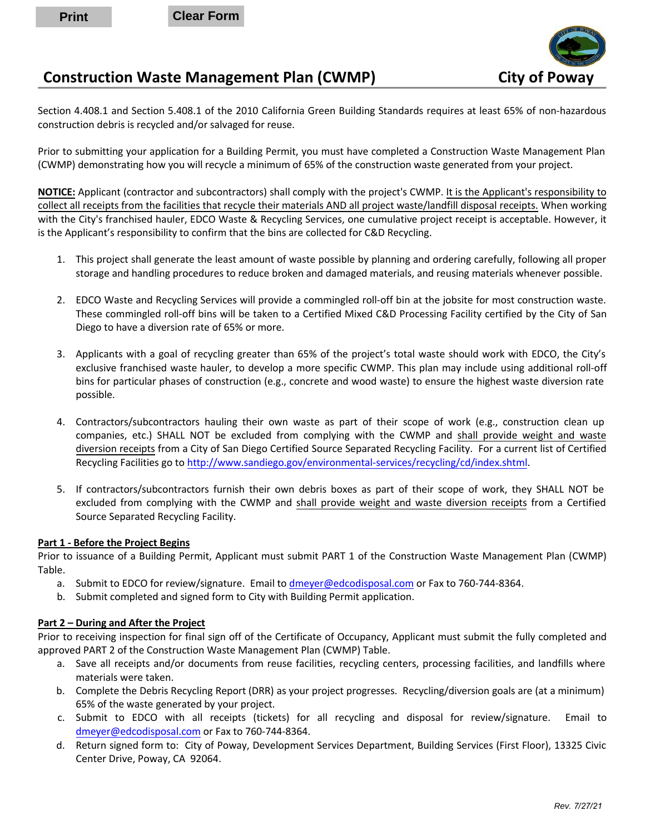**Print Clear Form**



## **Construction Waste Management Plan (CWMP) City of Poway**

Section 4.408.1 and Section 5.408.1 of the 2010 California Green Building Standards requires at least 65% of non-hazardous construction debris is recycled and/or salvaged for reuse.

Prior to submitting your application for a Building Permit, you must have completed a Construction Waste Management Plan (CWMP) demonstrating how you will recycle a minimum of 65% of the construction waste generated from your project.

**NOTICE:** Applicant (contractor and subcontractors) shall comply with the project's CWMP. It is the Applicant's responsibility to collect all receipts from the facilities that recycle their materials AND all project waste/landfill disposal receipts. When working with the City's franchised hauler, EDCO Waste & Recycling Services, one cumulative project receipt is acceptable. However, it is the Applicant's responsibility to confirm that the bins are collected for C&D Recycling.

- 1. This project shall generate the least amount of waste possible by planning and ordering carefully, following all proper storage and handling procedures to reduce broken and damaged materials, and reusing materials whenever possible.
- 2. EDCO Waste and Recycling Services will provide a commingled roll-off bin at the jobsite for most construction waste. These commingled roll-off bins will be taken to a Certified Mixed C&D Processing Facility certified by the City of San Diego to have a diversion rate of 65% or more.
- 3. Applicants with a goal of recycling greater than 65% of the project's total waste should work with EDCO, the City's exclusive franchised waste hauler, to develop a more specific CWMP. This plan may include using additional roll-off bins for particular phases of construction (e.g., concrete and wood waste) to ensure the highest waste diversion rate possible.
- 4. Contractors/subcontractors hauling their own waste as part of their scope of work (e.g., construction clean up companies, etc.) SHALL NOT be excluded from complying with the CWMP and shall provide weight and waste diversion receipts from a City of San Diego Certified Source Separated Recycling Facility. For a current list of Certified Recycling Facilities go to [http://www.sandiego.gov/environmental-services/recycling/cd/index.shtml.](http://www.sandiego.gov/environmental-services/recycling/cd/index.shtml)
- 5. If contractors/subcontractors furnish their own debris boxes as part of their scope of work, they SHALL NOT be excluded from complying with the CWMP and shall provide weight and waste diversion receipts from a Certified Source Separated Recycling Facility.

#### **Part 1 - Before the Project Begins**

Prior to issuance of a Building Permit, Applicant must submit PART 1 of the Construction Waste Management Plan (CWMP) Table.

- a. Submit to EDCO for review/signature. Email t[o dmeyer@edcodisposal.com](mailto:dmeyer@edcodisposal.com) or Fax to 760-744-8364.
- b. Submit completed and signed form to City with Building Permit application.

### **Part 2 – During and After the Project**

Prior to receiving inspection for final sign off of the Certificate of Occupancy, Applicant must submit the fully completed and approved PART 2 of the Construction Waste Management Plan (CWMP) Table.

- a. Save all receipts and/or documents from reuse facilities, recycling centers, processing facilities, and landfills where materials were taken.
- b. Complete the Debris Recycling Report (DRR) as your project progresses. Recycling/diversion goals are (at a minimum) 65% of the waste generated by your project.
- c. Submit to EDCO with all receipts (tickets) for all recycling and disposal for review/signature. Email to [dmeyer@edcodisposal.com](mailto:dmeyer@edcodisposal.com) or Fax to 760-744-8364.
- d. Return signed form to: City of Poway, Development Services Department, Building Services (First Floor), 13325 Civic Center Drive, Poway, CA 92064.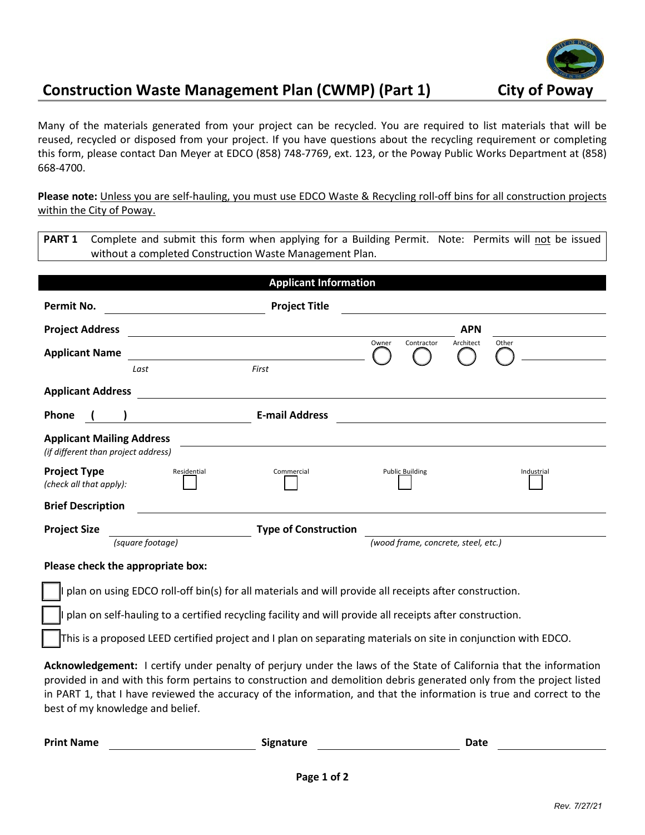

# **Construction Waste Management Plan (CWMP) (Part 1) City of Poway**

Many of the materials generated from your project can be recycled. You are required to list materials that will be reused, recycled or disposed from your project. If you have questions about the recycling requirement or completing this form, please contact Dan Meyer at EDCO (858) 748-7769, ext. 123, or the Poway Public Works Department at (858) 668-4700.

**Please note:** Unless you are self-hauling, you must use EDCO Waste & Recycling roll-off bins for all construction projects within the City of Poway.

| <b>PART 1</b> Complete and submit this form when applying for a Building Permit. Note: Permits will not be issued |  |
|-------------------------------------------------------------------------------------------------------------------|--|
| without a completed Construction Waste Management Plan.                                                           |  |

|                                                                                                                |                  | <b>Applicant Information</b> |                                     |            |  |  |
|----------------------------------------------------------------------------------------------------------------|------------------|------------------------------|-------------------------------------|------------|--|--|
| Permit No.                                                                                                     |                  | <b>Project Title</b>         |                                     |            |  |  |
| <b>Project Address</b>                                                                                         |                  |                              | <b>APN</b>                          |            |  |  |
| <b>Applicant Name</b>                                                                                          |                  |                              | Owner<br>Architect<br>Contractor    | Other      |  |  |
|                                                                                                                | First<br>Last    |                              |                                     |            |  |  |
| <b>Applicant Address</b>                                                                                       |                  |                              |                                     |            |  |  |
| <b>Phone</b>                                                                                                   |                  | <b>E-mail Address</b>        |                                     |            |  |  |
| <b>Applicant Mailing Address</b><br>(if different than project address)                                        |                  |                              |                                     |            |  |  |
| <b>Project Type</b><br>(check all that apply):                                                                 | Residential      | Commercial                   | <b>Public Building</b>              | Industrial |  |  |
| <b>Brief Description</b>                                                                                       |                  |                              |                                     |            |  |  |
| <b>Project Size</b>                                                                                            |                  | <b>Type of Construction</b>  |                                     |            |  |  |
|                                                                                                                | (square footage) |                              | (wood frame, concrete, steel, etc.) |            |  |  |
| Please check the appropriate box:                                                                              |                  |                              |                                     |            |  |  |
| plan on using EDCO roll-off bin(s) for all materials and will provide all receipts after construction.         |                  |                              |                                     |            |  |  |
| plan on self-hauling to a certified recycling facility and will provide all receipts after construction.       |                  |                              |                                     |            |  |  |
| This is a proposed LEED certified project and I plan on separating materials on site in conjunction with EDCO. |                  |                              |                                     |            |  |  |

**Acknowledgement:** I certify under penalty of perjury under the laws of the State of California that the information provided in and with this form pertains to construction and demolition debris generated only from the project listed in PART 1, that I have reviewed the accuracy of the information, and that the information is true and correct to the best of my knowledge and belief.

| <b>Print Name</b> | <b>Signature</b> | Date |  |
|-------------------|------------------|------|--|
|                   |                  |      |  |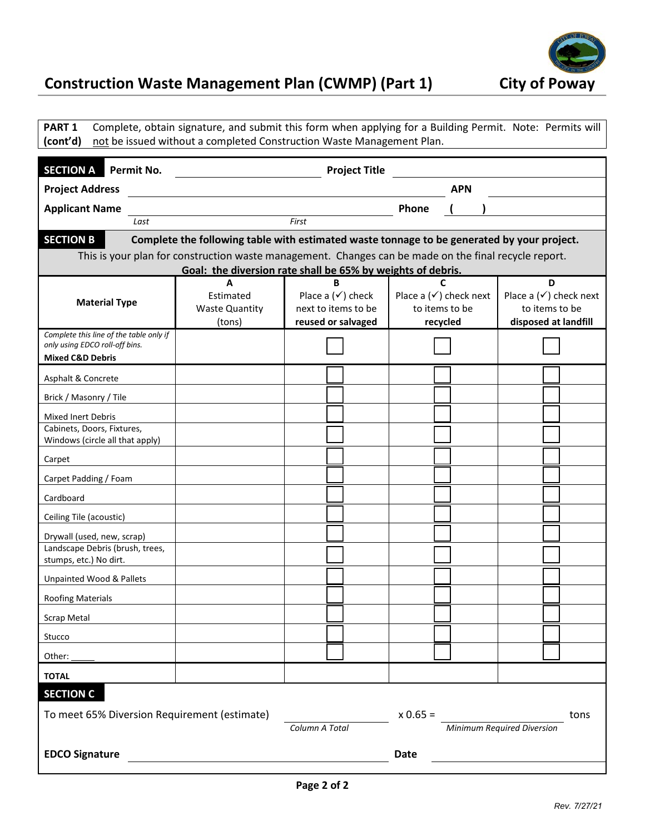

# **Construction Waste Management Plan (CWMP) (Part 1) City of Poway**

| PART <sub>1</sub><br>Complete, obtain signature, and submit this form when applying for a Building Permit. Note: Permits will<br>not be issued without a completed Construction Waste Management Plan.<br>(cont'd) |                                                                                                       |                                                                           |                                                                 |                                                                             |  |  |
|--------------------------------------------------------------------------------------------------------------------------------------------------------------------------------------------------------------------|-------------------------------------------------------------------------------------------------------|---------------------------------------------------------------------------|-----------------------------------------------------------------|-----------------------------------------------------------------------------|--|--|
| <b>SECTION A</b><br>Permit No.<br><b>Project Title</b>                                                                                                                                                             |                                                                                                       |                                                                           |                                                                 |                                                                             |  |  |
| <b>Project Address</b><br>APN                                                                                                                                                                                      |                                                                                                       |                                                                           |                                                                 |                                                                             |  |  |
| <b>Applicant Name</b>                                                                                                                                                                                              |                                                                                                       |                                                                           | Phone                                                           |                                                                             |  |  |
| Last                                                                                                                                                                                                               |                                                                                                       | First                                                                     |                                                                 |                                                                             |  |  |
| <b>SECTION B</b>                                                                                                                                                                                                   | Complete the following table with estimated waste tonnage to be generated by your project.            |                                                                           |                                                                 |                                                                             |  |  |
|                                                                                                                                                                                                                    | This is your plan for construction waste management. Changes can be made on the final recycle report. |                                                                           |                                                                 |                                                                             |  |  |
|                                                                                                                                                                                                                    | A                                                                                                     | Goal: the diversion rate shall be 65% by weights of debris.<br>R          |                                                                 | D                                                                           |  |  |
| <b>Material Type</b>                                                                                                                                                                                               | Estimated<br><b>Waste Quantity</b><br>(tons)                                                          | Place a $(\checkmark)$ check<br>next to items to be<br>reused or salvaged | Place a $(\checkmark)$ check next<br>to items to be<br>recycled | Place a $(\checkmark)$ check next<br>to items to be<br>disposed at landfill |  |  |
| Complete this line of the table only if<br>only using EDCO roll-off bins.<br><b>Mixed C&amp;D Debris</b>                                                                                                           |                                                                                                       |                                                                           |                                                                 |                                                                             |  |  |
| Asphalt & Concrete                                                                                                                                                                                                 |                                                                                                       |                                                                           |                                                                 |                                                                             |  |  |
| Brick / Masonry / Tile                                                                                                                                                                                             |                                                                                                       |                                                                           |                                                                 |                                                                             |  |  |
| Mixed Inert Debris                                                                                                                                                                                                 |                                                                                                       |                                                                           |                                                                 |                                                                             |  |  |
| Cabinets, Doors, Fixtures,<br>Windows (circle all that apply)                                                                                                                                                      |                                                                                                       |                                                                           |                                                                 |                                                                             |  |  |
| Carpet                                                                                                                                                                                                             |                                                                                                       |                                                                           |                                                                 |                                                                             |  |  |
| Carpet Padding / Foam                                                                                                                                                                                              |                                                                                                       |                                                                           |                                                                 |                                                                             |  |  |
| Cardboard                                                                                                                                                                                                          |                                                                                                       |                                                                           |                                                                 |                                                                             |  |  |
| Ceiling Tile (acoustic)                                                                                                                                                                                            |                                                                                                       |                                                                           |                                                                 |                                                                             |  |  |
| Drywall (used, new, scrap)                                                                                                                                                                                         |                                                                                                       |                                                                           |                                                                 |                                                                             |  |  |
| Landscape Debris (brush, trees,<br>stumps, etc.) No dirt.                                                                                                                                                          |                                                                                                       |                                                                           |                                                                 |                                                                             |  |  |
| <b>Unpainted Wood &amp; Pallets</b>                                                                                                                                                                                |                                                                                                       |                                                                           |                                                                 |                                                                             |  |  |
| <b>Roofing Materials</b>                                                                                                                                                                                           |                                                                                                       |                                                                           |                                                                 |                                                                             |  |  |
| <b>Scrap Metal</b>                                                                                                                                                                                                 |                                                                                                       |                                                                           |                                                                 |                                                                             |  |  |
| Stucco                                                                                                                                                                                                             |                                                                                                       |                                                                           |                                                                 |                                                                             |  |  |
| Other: $\overline{\phantom{a}}$                                                                                                                                                                                    |                                                                                                       |                                                                           |                                                                 |                                                                             |  |  |
| <b>TOTAL</b>                                                                                                                                                                                                       |                                                                                                       |                                                                           |                                                                 |                                                                             |  |  |
| <b>SECTION C</b><br>To meet 65% Diversion Requirement (estimate)<br>$x 0.65 =$<br>Column A Total                                                                                                                   |                                                                                                       |                                                                           |                                                                 | tons<br>Minimum Required Diversion                                          |  |  |
| <b>EDCO Signature</b>                                                                                                                                                                                              |                                                                                                       |                                                                           | <b>Date</b>                                                     |                                                                             |  |  |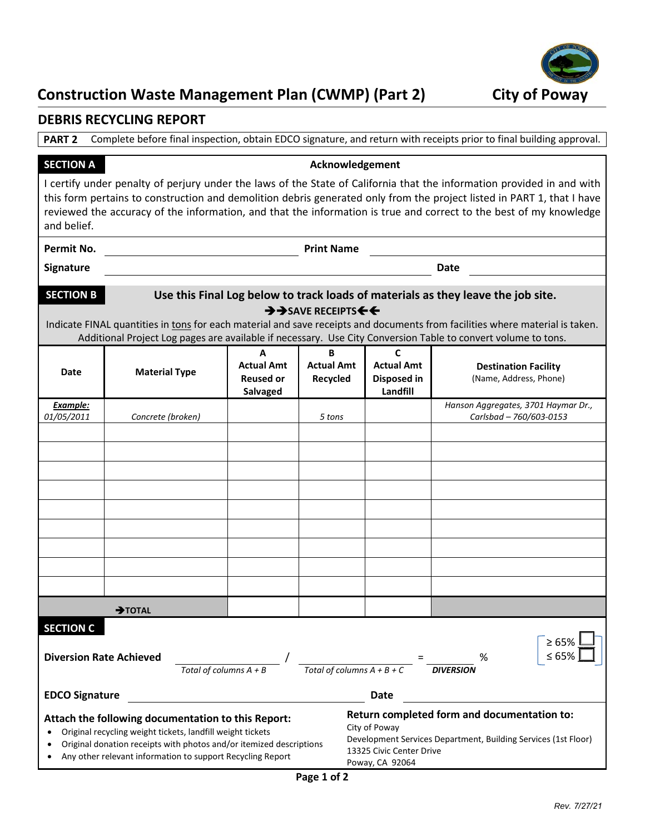

# **Construction Waste Management Plan (CWMP) (Part 2) City of Poway**

### **DEBRIS RECYCLING REPORT**

**PART 2** Complete before final inspection, obtain EDCO signature, and return with receipts prior to final building approval.

**SECTION A Acknowledgement** 

I certify under penalty of perjury under the laws of the State of California that the information provided in and with this form pertains to construction and demolition debris generated only from the project listed in PART 1, that I have reviewed the accuracy of the information, and that the information is true and correct to the best of my knowledge and belief.

**Permit No. Print Name** 

**Signature Date**

| <b>SECTION B</b> | Use this Final Log below to track loads of materials as they leave the job site. |
|------------------|----------------------------------------------------------------------------------|
|                  | $\rightarrow$ SAVE RECEIPTS $\leftarrow$                                         |

Indicate FINAL quantities in tons for each material and save receipts and documents from facilities where material is taken. Additional Project Log pages are available if necessary. Use City Conversion Table to convert volume to tons.

| <b>Date</b>                                                                                                                                                                                                                                                                                  | <b>Material Type</b>     | A<br><b>Actual Amt</b><br><b>Reused or</b><br><b>Salvaged</b> | B<br><b>Actual Amt</b><br>Recycled | $\mathbf{C}$<br><b>Actual Amt</b><br>Disposed in<br>Landfill                                                                                                                  | <b>Destination Facility</b><br>(Name, Address, Phone)          |  |
|----------------------------------------------------------------------------------------------------------------------------------------------------------------------------------------------------------------------------------------------------------------------------------------------|--------------------------|---------------------------------------------------------------|------------------------------------|-------------------------------------------------------------------------------------------------------------------------------------------------------------------------------|----------------------------------------------------------------|--|
| Example:<br>01/05/2011                                                                                                                                                                                                                                                                       | Concrete (broken)        |                                                               | 5 tons                             |                                                                                                                                                                               | Hanson Aggregates, 3701 Haymar Dr.,<br>Carlsbad - 760/603-0153 |  |
|                                                                                                                                                                                                                                                                                              |                          |                                                               |                                    |                                                                                                                                                                               |                                                                |  |
|                                                                                                                                                                                                                                                                                              |                          |                                                               |                                    |                                                                                                                                                                               |                                                                |  |
|                                                                                                                                                                                                                                                                                              |                          |                                                               |                                    |                                                                                                                                                                               |                                                                |  |
|                                                                                                                                                                                                                                                                                              |                          |                                                               |                                    |                                                                                                                                                                               |                                                                |  |
|                                                                                                                                                                                                                                                                                              |                          |                                                               |                                    |                                                                                                                                                                               |                                                                |  |
|                                                                                                                                                                                                                                                                                              |                          |                                                               |                                    |                                                                                                                                                                               |                                                                |  |
|                                                                                                                                                                                                                                                                                              |                          |                                                               |                                    |                                                                                                                                                                               |                                                                |  |
|                                                                                                                                                                                                                                                                                              |                          |                                                               |                                    |                                                                                                                                                                               |                                                                |  |
|                                                                                                                                                                                                                                                                                              |                          |                                                               |                                    |                                                                                                                                                                               |                                                                |  |
|                                                                                                                                                                                                                                                                                              | $\rightarrow$ TOTAL      |                                                               |                                    |                                                                                                                                                                               |                                                                |  |
| <b>SECTION C</b><br><b>Diversion Rate Achieved</b>                                                                                                                                                                                                                                           |                          |                                                               |                                    |                                                                                                                                                                               | $\geq 65\%$ L<br>$\leq 65\%$<br>%                              |  |
|                                                                                                                                                                                                                                                                                              | Total of columns $A + B$ |                                                               | Total of columns $A + B + C$       |                                                                                                                                                                               | <b>DIVERSION</b>                                               |  |
| <b>EDCO Signature</b><br><b>Date</b>                                                                                                                                                                                                                                                         |                          |                                                               |                                    |                                                                                                                                                                               |                                                                |  |
| Attach the following documentation to this Report:<br>Original recycling weight tickets, landfill weight tickets<br>$\bullet$<br>Original donation receipts with photos and/or itemized descriptions<br>$\bullet$<br>Any other relevant information to support Recycling Report<br>$\bullet$ |                          |                                                               |                                    | Return completed form and documentation to:<br>City of Poway<br>Development Services Department, Building Services (1st Floor)<br>13325 Civic Center Drive<br>Poway, CA 92064 |                                                                |  |